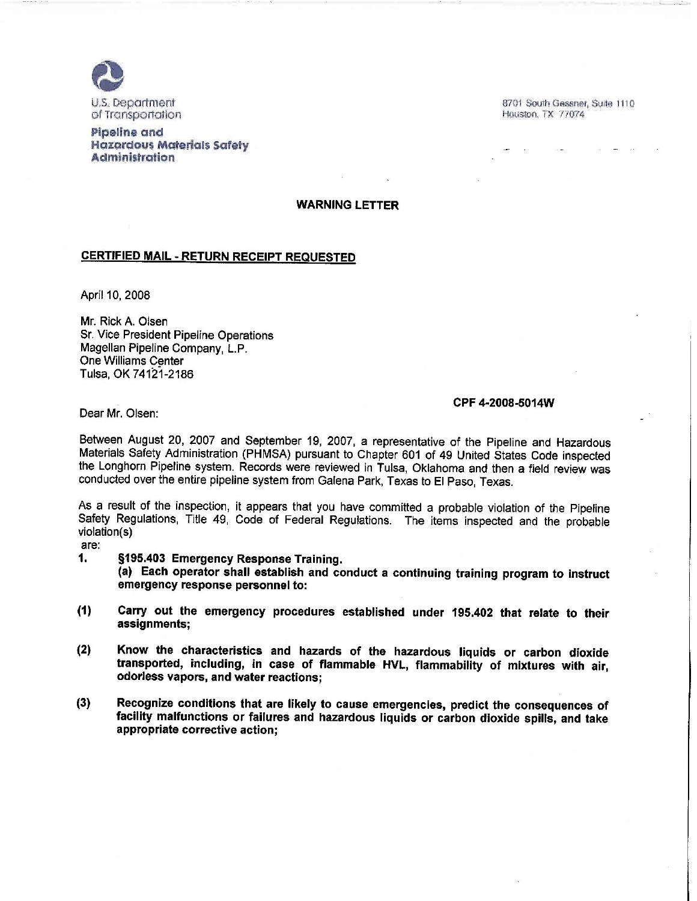

Pipeline Ohd Hazardous Materials Safety **Administration** 

8701 South Gessner, Suite 1110 Houston, TX 77074

## WARNING LETTER

## CERTIFIED MAIL - RETURN RECEIPT REQUESTED

April 10, 2008

Mr. Rick A. Olsen Sr. Vice President Pipeline Operations Magellan Pipeline Company, L. P. One Williams Center Tulsa, OK 74121-2186

## CPF 4-2008-5014W

Dear Mr. Olsen:

Between August 20, 2007 and September 19, 2007, a representative of the Pipeline and Hazardous Materials Safety Administration (PHMSA) pursuant to Chapter 601 of 49 United States Code inspected the Longhorn Pipeline system. Records were reviewed in Tulsa, Oklahoma and then a field review was conducted over the entire pipeline system from Galena Park, Texas to El Paso, Texas.

As a result of the inspection, it appears that you have committed a probable violation of the Pipeline Safety Regulations, Title 49, Code of Federal Regulations. The items inspected and the probable violation(s)

are:<br>1.

- §195.403 Emergency Response Training. (a) Each operator shall establish and conduct a continuing training program to instruct emergency response personnel to:
- (1) Carry out the emergency procedures established under 195. 402 that relate to their assignments;
- (2) Know the characteristics and hazards of the hazardous liquids or carbon dioxide transported, including, in case of flammable HVL, flammability of mixtures with air, odorless vapors, and water reactions;
- (3) Recognize conditions that are likely to cause emergencies, predict the consequences of facility malfunctions or failures and hazardous liquids or carbon dioxide spills, and take appropriate corrective action;